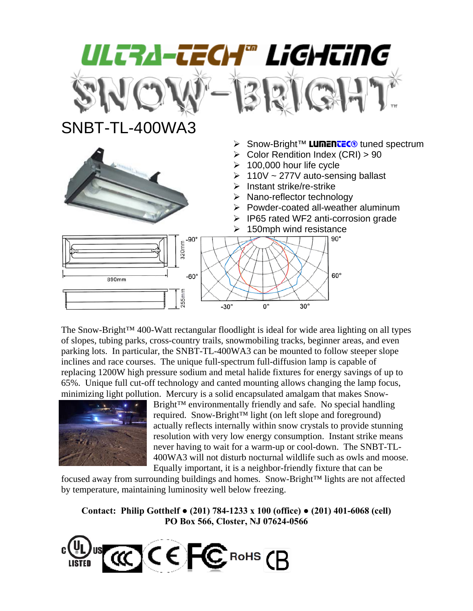

The Snow-Bright™ 400-Watt rectangular floodlight is ideal for wide area lighting on all types of slopes, tubing parks, cross-country trails, snowmobiling tracks, beginner areas, and even parking lots. In particular, the SNBT-TL-400WA3 can be mounted to follow steeper slope inclines and race courses. The unique full-spectrum full-diffusion lamp is capable of replacing 1200W high pressure sodium and metal halide fixtures for energy savings of up to 65%. Unique full cut-off technology and canted mounting allows changing the lamp focus, minimizing light pollution. Mercury is a solid encapsulated amalgam that makes Snow-



Bright™ environmentally friendly and safe. No special handling required. Snow-Bright™ light (on left slope and foreground) actually reflects internally within snow crystals to provide stunning resolution with very low energy consumption. Instant strike means never having to wait for a warm-up or cool-down. The SNBT-TL-400WA3 will not disturb nocturnal wildlife such as owls and moose. Equally important, it is a neighbor-friendly fixture that can be

focused away from surrounding buildings and homes. Snow-Bright™ lights are not affected by temperature, maintaining luminosity well below freezing.

**Contact: Philip Gotthelf ● (201) 784-1233 x 100 (office) ● (201) 401-6068 (cell) PO Box 566, Closter, NJ 07624-0566**